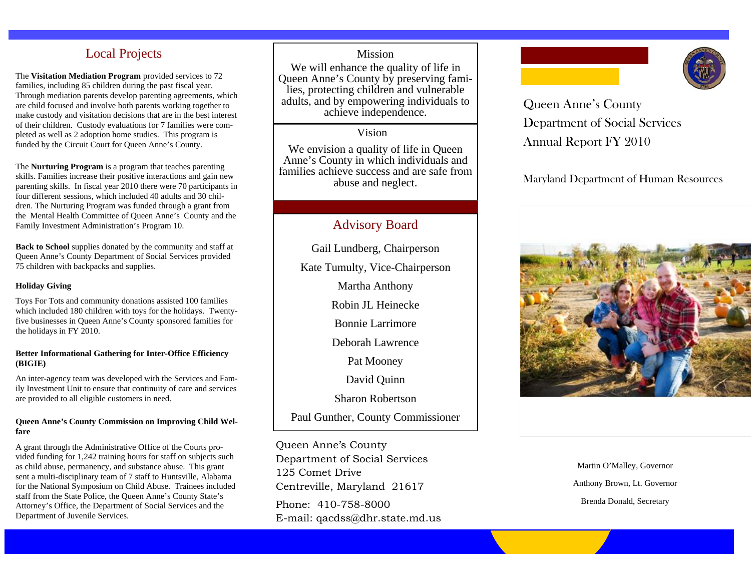## Local Projects

The **Visitation Mediation Program** provided services to 72 families, including 85 children during the past fiscal year. Through mediation parents develop parenting agreements, which are child focused and involve both parents working together to make custody and visitation decisions that are in the best interest of their children. Custody evaluations for 7 families were completed as well as 2 adoption home studies. This program is funded by the Circuit Court for Queen Anne's County.

The **Nurturing Program** is a program that teaches parenting skills. Families increase their positive interactions and gain new parenting skills. In fiscal year 2010 there were 70 participants in four different sessions, which included 40 adults and 30 children. The Nurturing Program was funded through a grant from the Mental Health Committee of Queen Anne's County and the Family Investment Administration's Program 10.

**Back to School** supplies donated by the community and staff at Queen Anne's County Department of Social Services provided 75 children with backpacks and supplies.

### **Holiday Giving**

Toys For Tots and community donations assisted 100 families which included 180 children with toys for the holidays. Twentyfive businesses in Queen Anne's County sponsored families for the holidays in FY 2010.

### **Better Informational Gathering for Inter-Office Efficiency (BIGIE)**

An inter-agency team was developed with the Services and Family Investment Unit to ensure that continuity of care and services are provided to all eligible customers in need.

### **Queen Anne's County Commission on Improving Child Welfare**

A grant through the Administrative Office of the Courts provided funding for 1,242 training hours for staff on subjects such as child abuse, permanency, and substance abuse. This grant sent a multi-disciplinary team of 7 staff to Huntsville, Alabama for the National Symposium on Child Abuse. Trainees included staff from the State Police, the Queen Anne's County State's Attorney's Office, the Department of Social Services and the Department of Juvenile Services.

## Mission

We will enhance the quality of life in Queen Anne's County by preserving families, protecting children and vulnerable adults, and by empowering individuals to achieve independence.

## Vision

We envision a quality of life in Queen Anne's County in which individuals and families achieve success and are safe from abuse and neglect.

## Advisory Board

Gail Lundberg, Chairperson Kate Tumulty, Vice-Chairperson

Martha Anthony

Robin JL Heinecke

Bonnie Larrimore

Deborah Lawrence

Pat Mooney

David Quinn

Sharon Robertson

Paul Gunther, County Commissioner

Queen Anne's County Department of Social Services 125 Comet Drive Centreville, Maryland 21617 Phone: 410-758-8000 E-mail: qacdss@dhr.state.md.us





Queen Anne's County Department of Social Services Annual Report FY 2010

Maryland Department of Human Resources



Martin O'Malley, Governor Anthony Brown, Lt. Governor Brenda Donald, Secretary